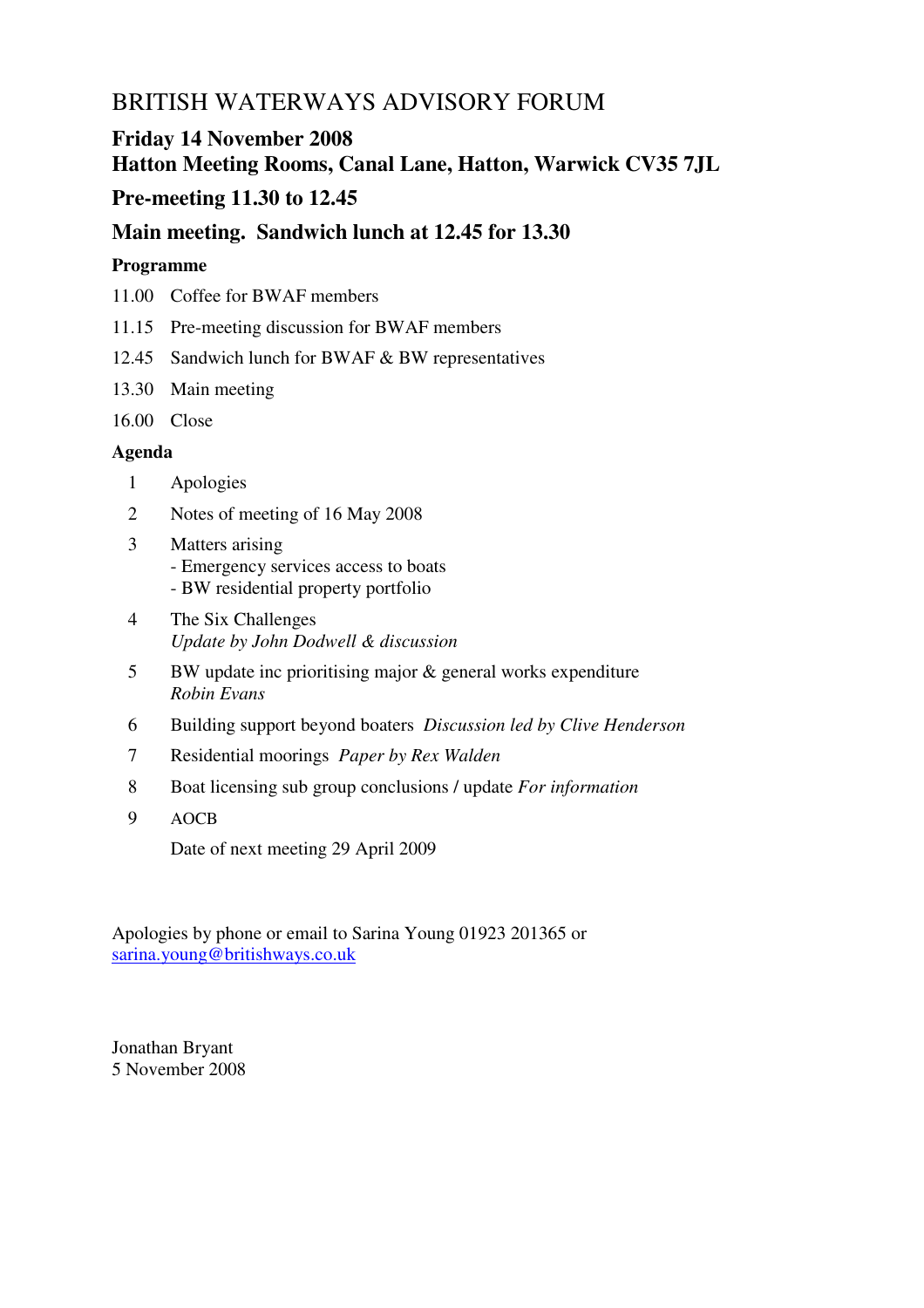# BRITISH WATERWAYS ADVISORY FORUM

# **Friday 14 November 2008**

# **Hatton Meeting Rooms, Canal Lane, Hatton, Warwick CV35 7JL**

### **Pre-meeting 11.30 to 12.45**

#### **Main meeting. Sandwich lunch at 12.45 for 13.30**

#### **Programme**

- 11.00 Coffee for BWAF members
- 11.15 Pre-meeting discussion for BWAF members
- 12.45 Sandwich lunch for BWAF & BW representatives
- 13.30 Main meeting
- 16.00 Close

#### **Agenda**

- 1 Apologies
- 2 Notes of meeting of 16 May 2008
- 3 Matters arising - Emergency services access to boats - BW residential property portfolio
- 4 The Six Challenges *Update by John Dodwell & discussion*
- 5 BW update inc prioritising major & general works expenditure *Robin Evans*
- 6 Building support beyond boaters *Discussion led by Clive Henderson*
- 7 Residential moorings *Paper by Rex Walden*
- 8 Boat licensing sub group conclusions / update *For information*
- 9 AOCB

Date of next meeting 29 April 2009

Apologies by phone or email to Sarina Young 01923 201365 or sarina.young@britishways.co.uk

Jonathan Bryant 5 November 2008